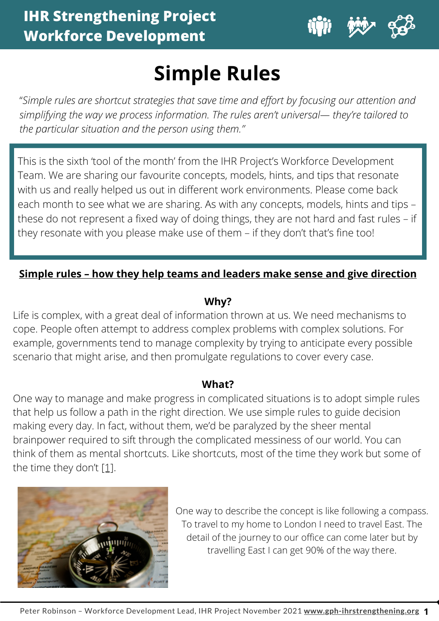

# **Simple Rules**

"*Simple rules are shortcut strategies that save time and effort by focusing our attention and simplifying the way we process information. The rules aren't universal— they're tailored to the particular situation and the person using them."*

This is the sixth 'tool of the month' from the IHR Project's Workforce Development Team. We are sharing our favourite concepts, models, hints, and tips that resonate with us and really helped us out in different work environments. Please come back each month to see what we are sharing. As with any concepts, models, hints and tips – these do not represent a fixed way of doing things, they are not hard and fast rules – if they resonate with you please make use of them – if they don't that's fine too!

# **Simple rules – how they help teams and leaders make sense and give direction**

### **Why?**

Life is complex, with a great deal of information thrown at us. We need mechanisms to cope. People often attempt to address complex problems with complex solutions. For example, [governments](#page-4-0) tend to manage complexity by trying to anticipate every possible scenario that might arise, and then promulgate regulations to cover every case.

### **What?**

One way to manage and make progress in complicated situations is to adopt simple rules that help us follow a path in the right direction. We use simple rules to guide decision making every day. In fact, without them, we'd be paralyzed by the sheer mental brainpower required to sift through the complicated messiness of our world. You can think of them as mental shortcuts. Like shortcuts, most of the time they work but some of the time they don't  $[1]$ .



One way to describe the concept is like following a compass. To travel to my home to London Ineed to travel East. The detail of the journey to our office can come later but by travelling East I can get 90% of the way there.

**1**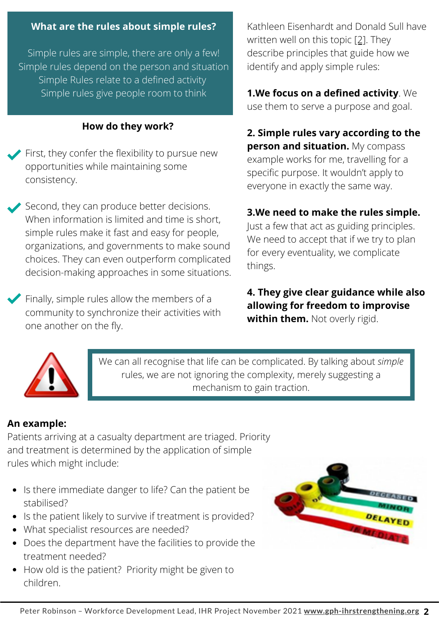#### **What are the rules about simple rules?**

Simple rules are simple, there are only a few! Simple rules depend on the person and situation Simple Rules relate to a defined activity Simple rules give people room to think

#### **How do they work?**

First, they confer the flexibility to pursue new opportunities while maintaining some consistency.

Second, they can produce better decisions. When information is limited and time is short, simple rules make it fast and easy for people, organizations, and governments to make sound choices. They can even outperform complicated decision-making approaches in some situations.

Finally, simple rules allow the members of a community to synchronize their activities with one another on the fly.

Kathleen Eisenhardt and Donald Sull have written well on this topic [\[2\].](#page-4-0) They describe principles that guide how we identify and apply simple rules:

**1.We focus on a defined activity**. We use them to serve a purpose and goal.

**2. Simple rules vary according to the person and situation.** My compass example works for me, travelling for a specific purpose. It wouldn't apply to everyone in exactly the same way.

#### **3.We need to make the rules simple.**

Just a few that act as guiding principles. We need to accept that if we try to plan for every eventuality, we complicate things.

**4. They give clear guidance while also allowing for freedom to improvise within them.** Not overly rigid.



We can all recognise that life can be complicated. By talking about *simple* rules, we are not ignoring the complexity, merely suggesting a mechanism to gain traction.

#### **An example:**

Patients arriving at a casualty department are triaged. Priority and treatment is determined by the application of simple rules which might include:

- Is there immediate danger to life? Can the patient be stabilised?
- Is the patient likely to survive if treatment is provided?
- What specialist resources are needed?
- Does the department have the facilities to provide the treatment needed?
- How old is the patient? Priority might be given to children.

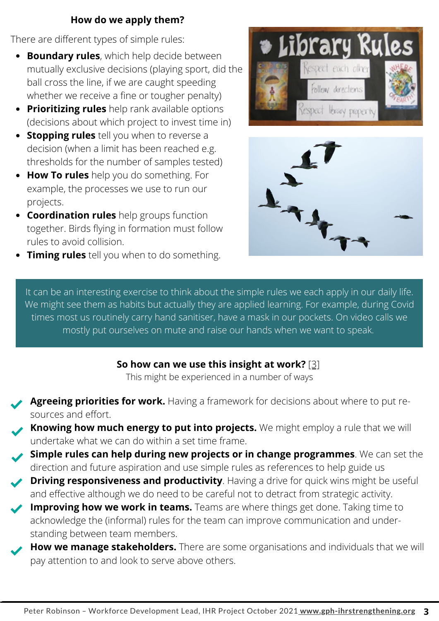### **How do we apply them?**

There are different types of simple rules:

- $\bullet$ **Boundary rules**, which help decide between mutually exclusive decisions (playing sport, did the ball cross the line, if we are caught speeding whether we receive a fine or tougher penalty)
- **Prioritizing rules** help rank available options (decisions about which project to invest time in)
- **Stopping rules** tell you when to reverse a decision (when a limit has been reached e.g. thresholds for the number of samples tested)
- **How To rules** help you do something. For example, the processes we use to run our projects.
- **Coordination rules** help groups function together. Birds flying in formation must follow rules to avoid collision.
- **Timing rules** tell you when to do something.





It can be an interesting exercise to think about the simple rules we each apply in our daily life. We might see them as habits but actually they are applied learning. For example, during Covid times most us routinely carry hand sanitiser, have a mask in our pockets. On video calls we mostly put ourselves on mute and raise our hands when we want to speak.

### **So how can we use this insight at work?** [\[3\]](#page-4-0)

This might be experienced in a number of ways

- **Agreeing priorities for work.** Having a framework for decisions about where to put resources and effort.
- **Knowing how much energy to put into projects.** We might employ a rule that we will undertake what we can do within a set time frame.
- **Simple rules can help during new projects or in change programmes**. We can set the direction and future aspiration and use simple rules as references to help guide us
- **Driving responsiveness and productivity**. Having a drive for quick wins might be useful and effective although we do need to be careful not to detract from strategic activity.
- **Improving how we work in teams.** Teams are where things get done. Taking time to acknowledge the (informal) rules for the team can improve communication and understanding between team members.
- **How we manage stakeholders.** There are some organisations and individuals that we will pay attention to and look to serve above others.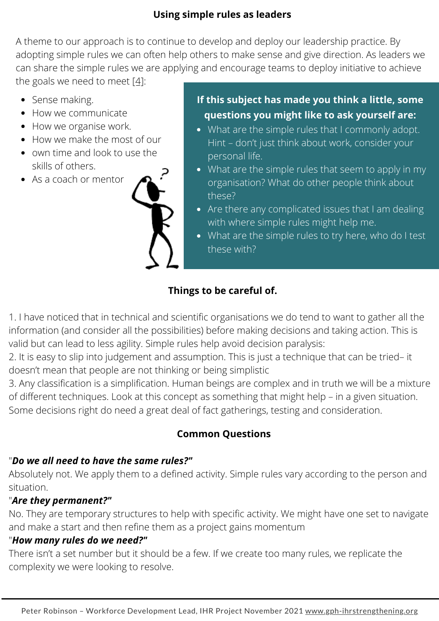### **Using simple rules as leaders**

A theme to our approach is to continue to develop and deploy our leadership practice. By adopting simple rules we can often help others to make sense and give direction. As leaders we can share the simple rules we are applying and encourage teams to deploy initiative to achieve the goals we need to meet  $[4]$ :

- Sense making.
- How we communicate
- How we organise work.
- How we make the most of our
- own time and look to use the skills of others.
- As a coach or mentor



- **If this subject has made you think a little, some questions you might like to ask yourself are:**
- What are the simple rules that I commonly adopt. Hint – don't just think about work, consider your personal life.
- What are the simple rules that seem to apply in my organisation? What do other people think about these?
- Are there any complicated issues that I am dealing with where simple rules might help me.
- What are the simple rules to try here, who do I test these with?

# **Things to be careful of.**

1. I have noticed that in technical and scientific organisations we do tend to want to gather all the information (and consider all the possibilities) before making decisions and taking action. This is valid but can lead to less agility. Simple rules help avoid decision paralysis:

2. It is easy to slip into judgement and assumption. This is just a technique that can be tried– it doesn't mean that people are not thinking or being simplistic

3. Any classification is a simplification. Human beings are complex and in truth we will be a mixture of different techniques. Look at this concept as something that might help – in a given situation. Some decisions right do need a great deal of fact gatherings, testing and consideration.

# **Common Questions**

## "*Do we all need to have the same rules?"*

Absolutely not. We apply them to a defined activity. Simple rules vary according to the person and situation.

# "*Are they permanent?"*

No. They are temporary structures to help with specific activity. We might have one set to navigate and make a start and then refine them as a project gains momentum

## "*How many rules do we need?"*

There isn't a set number but it should be a few. If we create too many rules, we replicate the complexity we were looking to resolve.